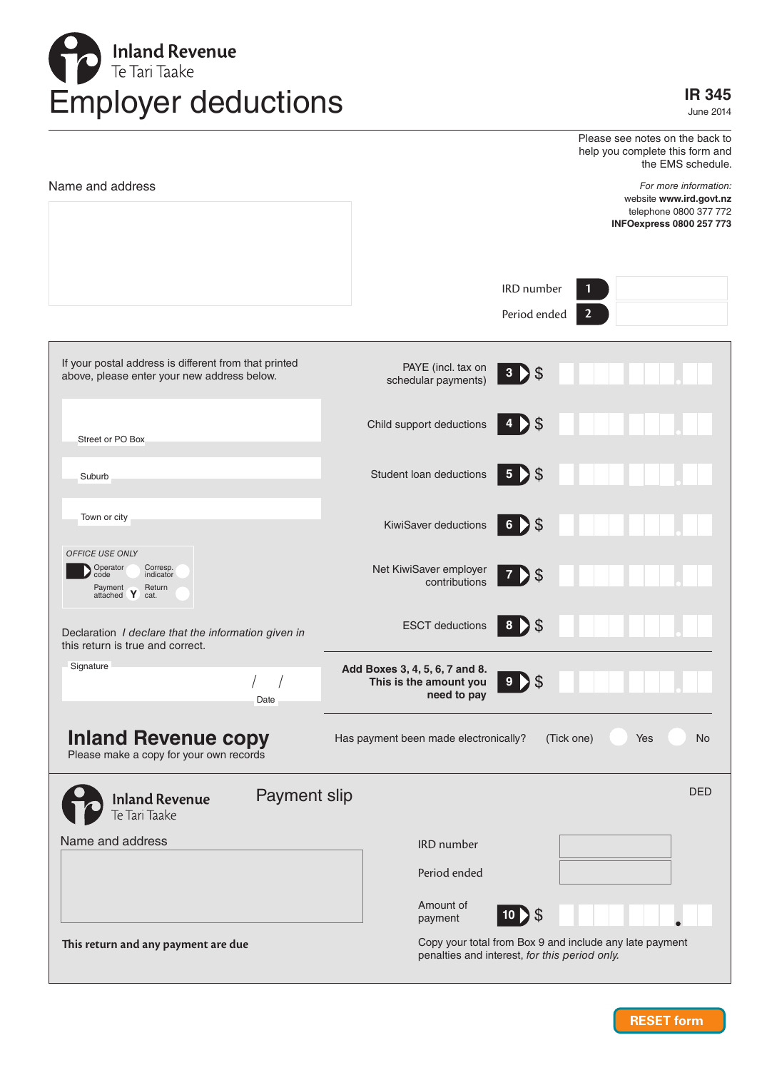

June 2014

| Name and address                                                                                        |                                                                         |                                    | Please see notes on the back to<br>help you complete this form and<br>the EMS schedule.<br>For more information:<br>website www.ird.govt.nz<br>telephone 0800 377 772<br><b>INFOexpress 0800 257 773</b> |
|---------------------------------------------------------------------------------------------------------|-------------------------------------------------------------------------|------------------------------------|----------------------------------------------------------------------------------------------------------------------------------------------------------------------------------------------------------|
|                                                                                                         |                                                                         | IRD number<br>Period ended         | $\mathbf{1}$<br>$\overline{2}$                                                                                                                                                                           |
| If your postal address is different from that printed<br>above, please enter your new address below.    | PAYE (incl. tax on<br>schedular payments)                               | 3 > \$                             |                                                                                                                                                                                                          |
| Street or PO Box                                                                                        | Child support deductions                                                | \$<br>4<br>D                       |                                                                                                                                                                                                          |
| Suburb                                                                                                  | Student loan deductions                                                 | \$<br>$\overline{\mathbf{5}}$<br>D |                                                                                                                                                                                                          |
| Town or city                                                                                            | KiwiSaver deductions                                                    | $6$ > \$                           |                                                                                                                                                                                                          |
| OFFICE USE ONLY<br>Operator<br>Corresp.<br>code<br>indicator<br>Payment<br>Return<br>attached Y<br>cat. | Net KiwiSaver employer<br>contributions                                 | 7 > \$                             |                                                                                                                                                                                                          |
| Declaration I declare that the information given in<br>this return is true and correct.                 | <b>ESCT</b> deductions                                                  | D \$<br>$\boldsymbol{8}$           |                                                                                                                                                                                                          |
| Signature<br>Date                                                                                       | Add Boxes 3, 4, 5, 6, 7 and 8.<br>This is the amount you<br>need to pay | \$<br>9<br>D                       |                                                                                                                                                                                                          |
| <b>Inland Revenue copy</b><br>Please make a copy for your own records                                   | Has payment been made electronically?                                   | (Tick one)                         | <b>No</b><br>Yes                                                                                                                                                                                         |
| Payment slip<br><b>Inland Revenue</b><br>Te Tari Taake                                                  |                                                                         |                                    | <b>DED</b>                                                                                                                                                                                               |
| Name and address                                                                                        | <b>IRD</b> number                                                       |                                    |                                                                                                                                                                                                          |
|                                                                                                         | Period ended                                                            |                                    |                                                                                                                                                                                                          |
|                                                                                                         | Amount of<br>payment                                                    | \$<br>$10$ $)$                     |                                                                                                                                                                                                          |
| This return and any payment are due                                                                     | penalties and interest, for this period only.                           |                                    | Copy your total from Box 9 and include any late payment                                                                                                                                                  |

**RESET form**